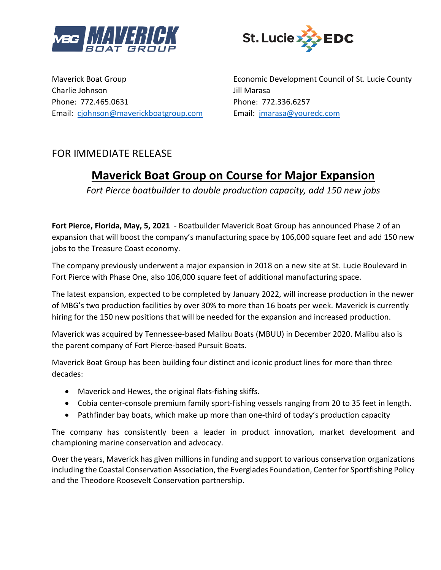



Charlie Johnson **Jill Marasa** Phone: 772.465.0631 Phone: 772.336.6257 Email: [cjohnson@maverickboatgroup.com](mailto:cjohnson@maverickboatgroup.com) Email: [jmarasa@youredc.com](mailto:jmarasa@youredc.com)

Maverick Boat Group **Example 20 Economic Development Council of St. Lucie County** 

## FOR IMMEDIATE RELEASE

## **Maverick Boat Group on Course for Major Expansion**

*Fort Pierce boatbuilder to double production capacity, add 150 new jobs*

**Fort Pierce, Florida, May, 5, 2021** - Boatbuilder Maverick Boat Group has announced Phase 2 of an expansion that will boost the company's manufacturing space by 106,000 square feet and add 150 new jobs to the Treasure Coast economy.

The company previously underwent a major expansion in 2018 on a new site at St. Lucie Boulevard in Fort Pierce with Phase One, also 106,000 square feet of additional manufacturing space.

The latest expansion, expected to be completed by January 2022, will increase production in the newer of MBG's two production facilities by over 30% to more than 16 boats per week. Maverick is currently hiring for the 150 new positions that will be needed for the expansion and increased production.

Maverick was acquired by Tennessee-based Malibu Boats (MBUU) in December 2020. Malibu also is the parent company of Fort Pierce-based Pursuit Boats.

Maverick Boat Group has been building four distinct and iconic product lines for more than three decades:

- Maverick and Hewes, the original flats-fishing skiffs.
- Cobia center-console premium family sport-fishing vessels ranging from 20 to 35 feet in length.
- Pathfinder bay boats, which make up more than one-third of today's production capacity

The company has consistently been a leader in product innovation, market development and championing marine conservation and advocacy.

Over the years, Maverick has given millions in funding and support to various conservation organizations including the Coastal Conservation Association, the Everglades Foundation, Center for Sportfishing Policy and the Theodore Roosevelt Conservation partnership.